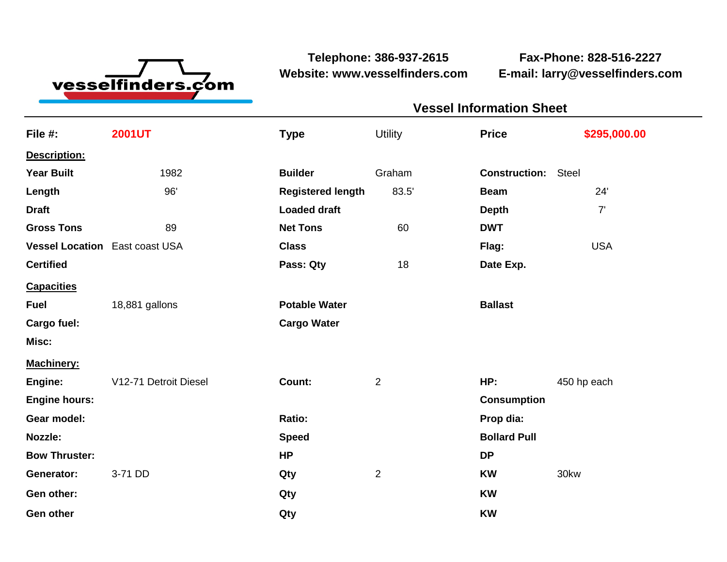

**Website: www.vesselfinders.com E-mail: larry@vesselfinders.com**

**Telephone: 386-937-2615 Fax-Phone: 828-516-2227**

| <b>Vessel Information Sheet</b> |                                                                                                                                                                                                                                     |
|---------------------------------|-------------------------------------------------------------------------------------------------------------------------------------------------------------------------------------------------------------------------------------|
|                                 | Utility Price \$295,000.00                                                                                                                                                                                                          |
|                                 |                                                                                                                                                                                                                                     |
| <b>Construction: Steel</b>      |                                                                                                                                                                                                                                     |
| <b>Beam</b>                     |                                                                                                                                                                                                                                     |
|                                 |                                                                                                                                                                                                                                     |
| <b>DWT</b>                      |                                                                                                                                                                                                                                     |
| 18 Date Exp.                    | <b>Example 20</b> Flag: the contract of the contract of the contract of the contract of the contract of the contract of the contract of the contract of the contract of the contract of the contract of the contract of the contrac |
|                                 |                                                                                                                                                                                                                                     |
| <b>Ballast</b>                  |                                                                                                                                                                                                                                     |
|                                 |                                                                                                                                                                                                                                     |
|                                 |                                                                                                                                                                                                                                     |
|                                 | Machinery:<br>Engine: V12-71 Detroit Diesel Count: 2 HP: 450 hp each                                                                                                                                                                |
| <b>Consumption</b>              |                                                                                                                                                                                                                                     |
| Prop dia:                       |                                                                                                                                                                                                                                     |
| <b>Bollard Pull</b>             |                                                                                                                                                                                                                                     |
|                                 |                                                                                                                                                                                                                                     |
| KW 30kw                         |                                                                                                                                                                                                                                     |
|                                 |                                                                                                                                                                                                                                     |